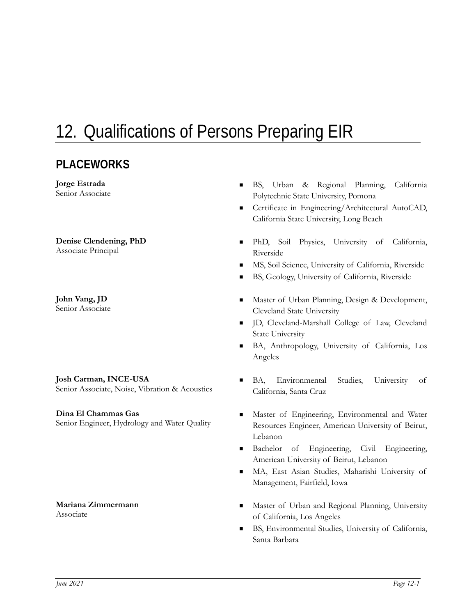# 12. Qualifications of Persons Preparing EIR

### **PLACEWORKS**

**Jorge Estrada** 

# **Denise Clendening, PhD**

**John Vang, JD**

#### **Josh Carman, INCE-USA**

#### **Dina El Chammas Gas**

# **Mariana Zimmermann**

- Senior Associate BS, Urban & Regional Planning, California Polytechnic State University, Pomona
	- Certificate in Engineering/Architectural AutoCAD, California State University, Long Beach
- **Denise Clendening, PhD**<br>Associate Principal **PhD, Soil Physics, University of California,**<br>Riverside Riverside
	- MS, Soil Science, University of California, Riverside
	- BS, Geology, University of California, Riverside
- John Vang, JD<br>
Senior Associate 
Master of Urban Planning, Design & Development,<br>
Cleveland State University Cleveland State University
	- D, Cleveland-Marshall College of Law, Cleveland State University
	- BA, Anthropology, University of California, Los Angeles
- **Josh Carman, INCE-USA BA, Environmental Studies, University of Senior Associate, Noise, Vibration & Acoustics** California Santa Cruz California, Santa Cruz
- **Dina El Chammas Gas** Master of Engineering, Environmental and Water Senior Engineer, Hydrology and Water Quality Resources Engineer American University of Beirut Resources Engineer, American University of Beirut, Lebanon
	- Bachelor of Engineering, Civil Engineering, American University of Beirut, Lebanon
	- MA, East Asian Studies, Maharishi University of Management, Fairfield, Iowa
- **Mariana Zimmermann**<br>Associate **and Regional Planning, University**<br>Associate of Colifornia Los Angeles. of California, Los Angeles
	- BS, Environmental Studies, University of California, Santa Barbara